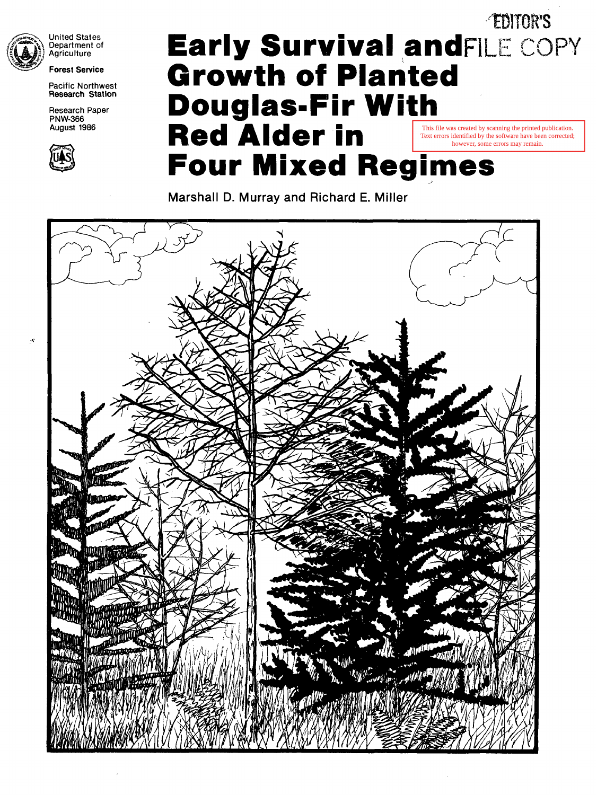

 $\ddot{x}$ 

United States Department of Agriculture

**Forest Service** 

Pacific Northwest **Research Station** 

Research Paper **PNW-366** August 1986



# **Early Survival and FILE COPY Growth of Planted Douglas.Fir With Red Alder in -"ED1TO-R'S Four Mixed Regimes**  ~J This file was created by scanning the printed publication. Text errors identified by the software have been corrected; however, some errors may remain.

**Marshall D. Murray and Richard E. Miller** 

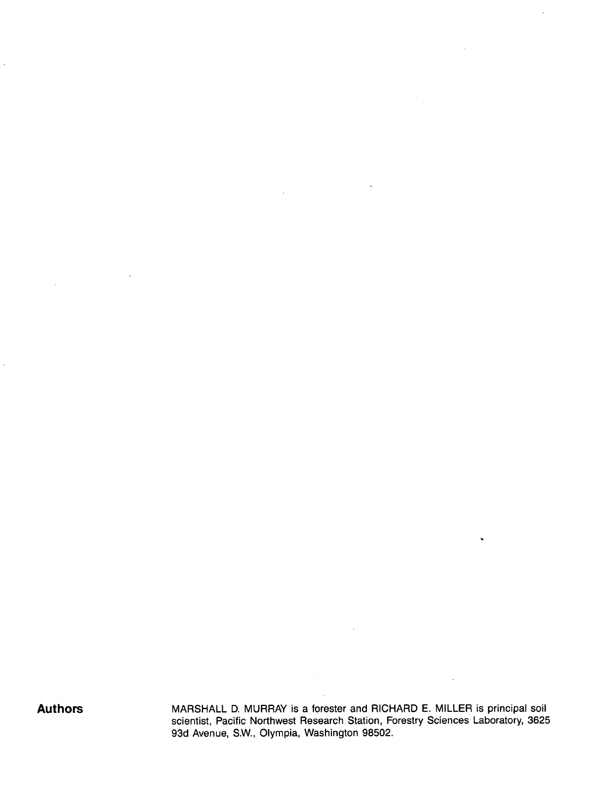J.

 $\ddot{\phantom{a}}$ 

**Authors MARSHALL D. MURRAY is a forester and RICHARD E. MILLER is principal soil** scientist, Pacific Northwest Research Station, Forestry Sciences Laboratory, 3625 93d Avenue, S.W., Olympia, Washington 98502.

 $\bar{\lambda}$ 

 $\ddot{\phantom{0}}$ 

 $\ddot{\phantom{a}}$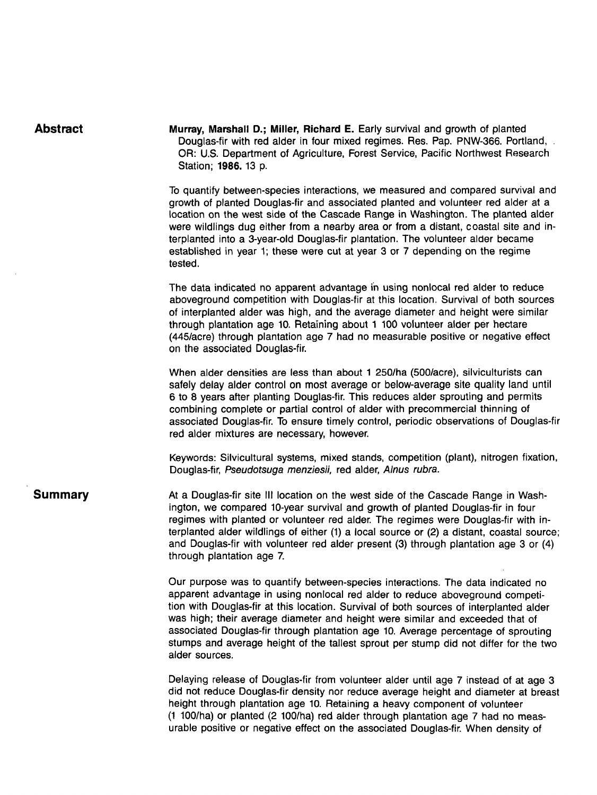| <b>Abstract</b> | Murray, Marshall D.; Miller, Richard E. Early survival and growth of planted<br>Douglas-fir with red alder in four mixed regimes. Res. Pap. PNW-366. Portland, .<br>OR: U.S. Department of Agriculture, Forest Service, Pacific Northwest Research<br>Station; 1986. 13 p.                                                                                                                                                                                                                                                                 |
|-----------------|--------------------------------------------------------------------------------------------------------------------------------------------------------------------------------------------------------------------------------------------------------------------------------------------------------------------------------------------------------------------------------------------------------------------------------------------------------------------------------------------------------------------------------------------|
|                 | To quantify between-species interactions, we measured and compared survival and<br>growth of planted Douglas-fir and associated planted and volunteer red alder at a<br>location on the west side of the Cascade Range in Washington. The planted alder<br>were wildlings dug either from a nearby area or from a distant, coastal site and in-<br>terplanted into a 3-year-old Douglas-fir plantation. The volunteer alder became<br>established in year 1; these were cut at year 3 or 7 depending on the regime<br>tested.              |
|                 | The data indicated no apparent advantage in using nonlocal red alder to reduce<br>aboveground competition with Douglas-fir at this location. Survival of both sources<br>of interplanted alder was high, and the average diameter and height were similar<br>through plantation age 10. Retaining about 1 100 volunteer alder per hectare<br>(445/acre) through plantation age 7 had no measurable positive or negative effect<br>on the associated Douglas-fir.                                                                           |
|                 | When alder densities are less than about 1 250/ha (500/acre), silviculturists can<br>safely delay alder control on most average or below-average site quality land until<br>6 to 8 years after planting Douglas-fir. This reduces alder sprouting and permits<br>combining complete or partial control of alder with precommercial thinning of<br>associated Douglas-fir. To ensure timely control, periodic observations of Douglas-fir<br>red alder mixtures are necessary, however.                                                     |
|                 | Keywords: Silvicultural systems, mixed stands, competition (plant), nitrogen fixation,<br>Douglas-fir, Pseudotsuga menziesii, red alder, Alnus rubra.                                                                                                                                                                                                                                                                                                                                                                                      |
| <b>Summary</b>  | At a Douglas-fir site III location on the west side of the Cascade Range in Wash-<br>ington, we compared 10-year survival and growth of planted Douglas-fir in four<br>regimes with planted or volunteer red alder. The regimes were Douglas-fir with in-<br>terplanted alder wildlings of either (1) a local source or (2) a distant, coastal source;<br>and Douglas-fir with volunteer red alder present (3) through plantation age 3 or (4)<br>through plantation age 7.                                                                |
|                 | Our purpose was to quantify between-species interactions. The data indicated no<br>apparent advantage in using nonlocal red alder to reduce aboveground competi-<br>tion with Douglas-fir at this location. Survival of both sources of interplanted alder<br>was high; their average diameter and height were similar and exceeded that of<br>associated Douglas-fir through plantation age 10. Average percentage of sprouting<br>stumps and average height of the tallest sprout per stump did not differ for the two<br>alder sources. |
|                 | Delaying release of Douglas-fir from volunteer alder until age 7 instead of at age 3<br>did not reduce Douglas-fir density nor reduce average height and diameter at breast<br>height through plantation age 10. Retaining a heavy component of volunteer<br>(1 100/ha) or planted (2 100/ha) red alder through plantation age 7 had no meas-<br>urable positive or negative effect on the associated Douglas-fir. When density of                                                                                                         |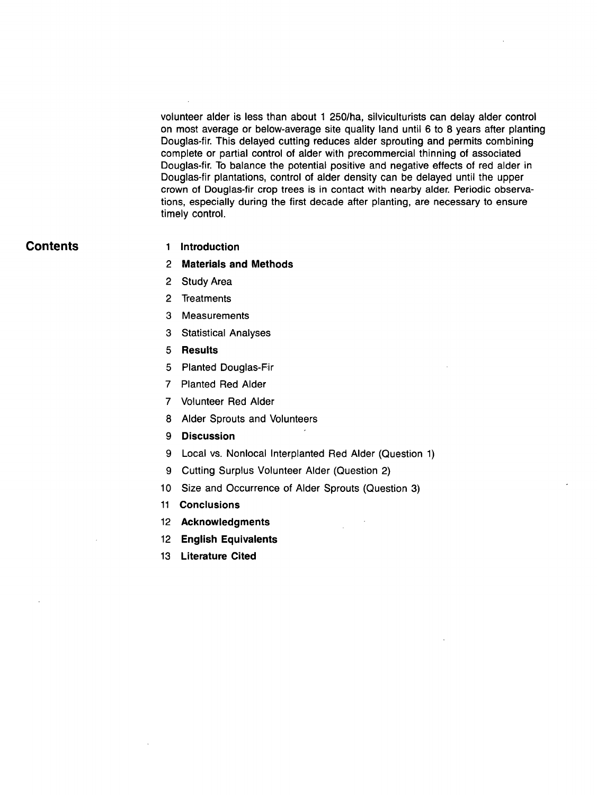volunteer alder is less than about 1 250/ha, silviculturists can delay alder control on most average or below-average site quality land until 6 to 8 years after planting Douglas-fir. This delayed cutting reduces alder sprouting and permits combining complete or partial control of alder with precommercial thinning of associated Douglas-fir. To balance the potential positive and negative effects of red alder in Douglas-fir plantations, control of alder density can be delayed until the upper crown of Douglas-fir crop trees is in contact with nearby alder. Periodic observations, especially during the first decade after planting, are necessary to ensure timely control.

# **Contents 1 Introduction**

- **2 Materials and Methods**
- 2 Study Area
- 2 Treatments
- 3 Measurements
- 3 Statistical Analyses
- 5 **Results**
- 5 Planted Douglas-Fir
- 7 Planted Red Alder
- 7 Volunteer Red Alder
- 8 Alder Sprouts and Volunteers
- **9 Discussion**
- 9 Local vs. Nonlocal Interplanted Red Alder (Question 1)
- 9 Cutting Surplus Volunteer Alder (Question 2)
- 10 Size and Occurrence of Alder Sprouts (Question 3)
- **11 Conclusions**
- **12 Acknowledgments**
- **12 English Equivalents**
- **13 Literature Cited**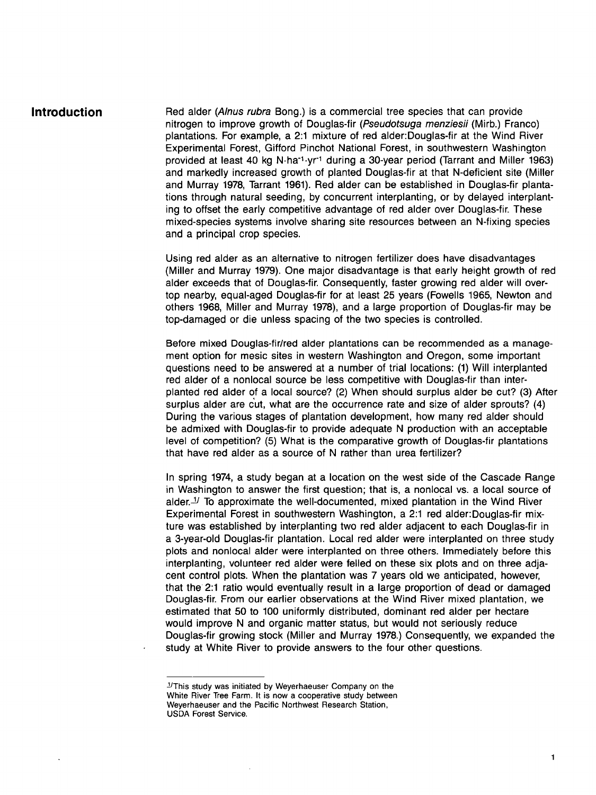**Introduction Red alder (Alnus rubra Bong.) is a commercial tree species that can provide** nitrogen to improve growth of Douglas-fir *(Pseudotsuga menziesfi* (Mirb.) Franco) plantations. For example, a 2:1 mixture of red alder:Douglas-fir at the Wind River Experimental Forest, Gifford Pinchot National Forest, in southwestern Washington provided at least 40 kg N·ha<sup>-1</sup>·yr<sup>-1</sup> during a 30-year period (Tarrant and Miller 1963) and markedly increased growth of planted Douglas-fir at that N-deficient site (Miller and Murray 1978, Tarrant 1961). Red alder can be established in Douglas-fir plantations through natural seeding, by concurrent interplanting, or by delayed interplanting to offset the early competitive advantage of red alder over Douglas-fir. These mixed-species systems involve sharing site resources between an N-fixing species and a principal crop species.

> Using red alder as an alternative to nitrogen fertilizer does have disadvantages (Miller and Murray 1979). One major disadvantage is that early height growth of red alder exceeds that of Douglas-fir. Consequently, faster growing red alder will overtop nearby, equal-aged Douglas-fir for at least 25 years (Fowells 1965, Newton and others 1968, Miller and Murray 1978), and a large proportion of Douglas-fir may be top-damaged or die unless spacing of the two species is controlled.

> Before mixed Douglas-fir/red alder plantations can be recommended as a management option for mesic sites in western Washington and Oregon, some important questions need to be answered at a number of trial locations: (1) Will interplanted red alder of a nonlocal source be less competitive with Douglas-fir than interplanted red alder of a local source? (2) When should surplus alder be cut? (3) After surplus alder are c'ut, what are the occurrence rate and size of alder sprouts? (4) During the various stages of plantation development, how many red alder should be admixed with Douglas-fir to provide adequate N production with an acceptable level of competition? (5) What is the comparative growth of Douglas-fir plantations that have red alder as a source of N rather than urea fertilizer?

> In spring 1974, a study began at a location on the west side of the Cascade Range in Washington to answer the first question; that is, a nonlocal vs. a local source of alder. $\frac{1}{1}$  To approximate the well-documented, mixed plantation in the Wind River Experimental Forest in southwestern Washington, a 2:1 red alder:Douglas-fir mixture was established by interplanting two red alder adjacent to each Douglas-fir in a 3-year-old Douglas-fir plantation. Local red alder were interplanted on three study plots and nonlocal alder were interplanted on three others. Immediately before this interplanting, volunteer red alder were felled on these six plots and on three adjacent control plots. When the plantation was 7 years old we anticipated, however, that the 2:1 ratio would eventually result in a large proportion of dead or damaged Douglas-fir. From our earlier observations at the Wind River mixed plantation, we estimated that 50 to 100 uniformly distributed, dominant red alder per hectare would improve N and organic matter status, but would not seriously reduce Douglas-fir growing stock (Miller and Murray 1978.) Consequently, we expanded the study at White River to provide answers to the four other questions.

 $<sup>J</sup>$ This study was initiated by Weyerhaeuser Company on the</sup> White River Tree Farm. It is now a cooperative study between Weyerhaeuser and the Pacific Northwest Research Station, USDA Forest Service.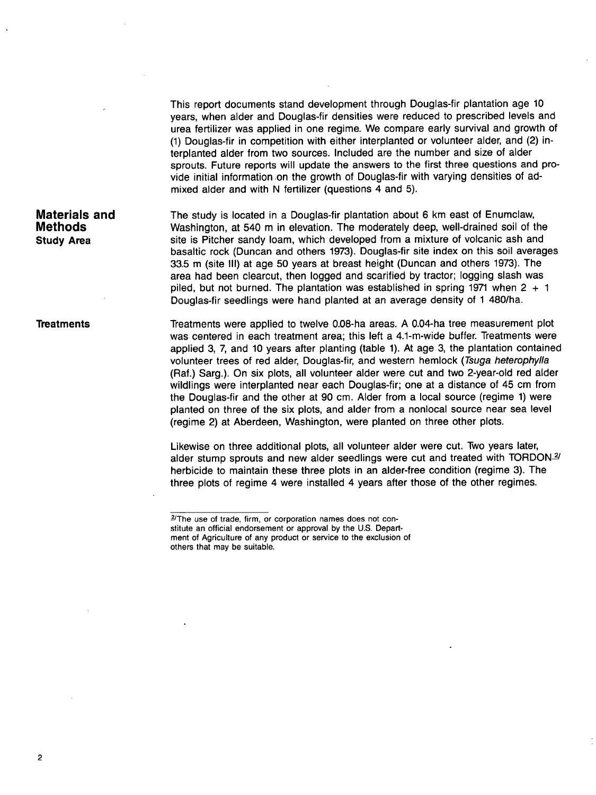This report documents stand development through Douglas-fir plantation age 10 years, when alder and Douglas-fir densities were reduced to prescribed levels and urea fertilizer was applied in one regime. We compare early survival and growth of (1) Douglas-fir in competition with either interplanted or volunteer alder, and (2) interplanted alder from two sources. Included are the number and size of alder sprouts. Future reports will update the answers to the first three questions and provide initial information on the growth of Douglas-fir with varying densities of admixed alder and with N fertilizer (questions 4 and 5).

## **Materials and Methods Study Area**

The study is located in a Douglas-fir plantation about 6 km east of Enumclaw, Washington, at 540 m in elevation. The moderately deep, well-drained soil of the site is Pitcher sandy loam, which developed from a mixture of volcanic ash and basaltic rock (Duncan and others 1973). Douglas-fir site index on this soil averages 33.5 m (site III) at age 50 years at breast height (Duncan and others 1973). The area had been clearcut, then logged and scarified by tractor; logging slash was piled, but not burned. The plantation was established in spring 1971 when  $2 + 1$ Douglas-fir seedlings were hand planted at an average density of 1 480/ha.

#### **Treatments**

Treatments were applied to twelve 0.08-ha areas. A 0.04-ha tree measurement plot was centered in each treatment area; this left a 4.1-m-wide buffer. Treatments were applied 3, 7, and 10 years after planting (table 1). At age 3, the plantation contained volunteer trees of red alder, Douglas-fir, and western hemlock *(Tsuga heterophylla*  (Raf.) Sarg.). On six plots, all volunteer alder were cut and two 2-year-old red alder wildlings were interplanted near each Douglas-fir; one at a distance of 45 cm from the Douglas-fir and the other at 90 cm. Alder from a local source (regime 1) were planted on three of the six plots, and alder from a nonlocal source near sea level (regime 2) at Aberdeen, Washington, were planted on three other plots.

Likewise on three additional plots, all volunteer alder were cut. Two years later, alder stump sprouts and new alder seedlings were cut and treated with TORDON $\frac{2}{3}$ herbicide to maintain these three plots in an alder-free condition (regime 3). The three plots of regime 4 were installed 4 years after those of the other regimes.

 $2$ The use of trade, firm, or corporation names does not constitute an official endorsement or approval by the U.S. Department of Agriculture of any product or service to the exclusion of others that may be suitable.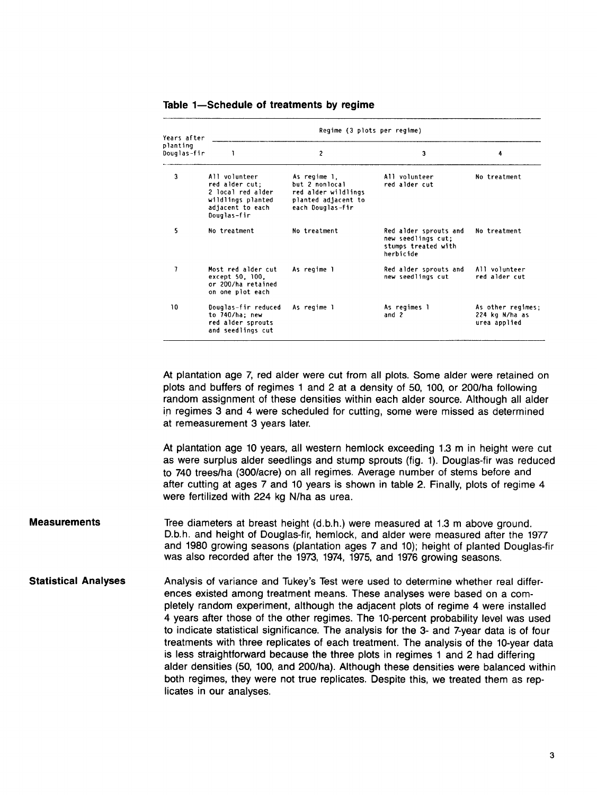| Years after             | Regime (3 plots per regime)                                                                                  |                                                                                                  |                                                                                 |                                                     |  |  |  |  |  |  |
|-------------------------|--------------------------------------------------------------------------------------------------------------|--------------------------------------------------------------------------------------------------|---------------------------------------------------------------------------------|-----------------------------------------------------|--|--|--|--|--|--|
| planting<br>Douglas-fir | ı                                                                                                            | $\overline{c}$                                                                                   | 3                                                                               | 4                                                   |  |  |  |  |  |  |
| 3                       | All volunteer<br>red alder cut:<br>2 local red alder<br>wildlings planted<br>adjacent to each<br>Douglas-fir | As regime 1.<br>but 2 nonlocal<br>red alder wildlings<br>planted adjacent to<br>each Douglas-fir | All volunteer<br>red alder cut                                                  | No treatment                                        |  |  |  |  |  |  |
| 5                       | No treatment                                                                                                 | No treatment                                                                                     | Red alder sprouts and<br>new seedlings cut;<br>stumps treated with<br>herbicide | No treatment                                        |  |  |  |  |  |  |
| 7                       | Most red alder cut<br>except 50, 100,<br>or 200/ha retained<br>on one plot each                              | As regime 1                                                                                      | Red alder sprouts and<br>new seedlings cut                                      | All volunteer<br>red alder cut                      |  |  |  |  |  |  |
| 10                      | Douglas-fir reduced<br>to 740/ha; new<br>red alder sprouts<br>and seedlings cut                              | As regime 1                                                                                      | As regimes l<br>and $2$                                                         | As other regimes:<br>224 kg N/ha as<br>urea applied |  |  |  |  |  |  |

#### Table 1-Schedule of treatments by regime

At plantation age 7, red alder were cut from all plots. Some alder were retained on plots and buffers of regimes 1 and 2 at a density of 50, 100, or 200/ha following random assignment of these densities within each alder source. Although all alder in regimes 3 and 4 were scheduled for cutting, some were missed as determined at remeasurement 3 years later.

At plantation age 10 years, all western hemlock exceeding 1.3 m in height were cut as were surplus alder seedlings and stump sprouts (fig. 1). Douglas-fir was reduced to 740 trees/ha (300/acre) on all regimes. Average number of stems before and after cutting at ages 7 and 10 years is shown in table 2. Finally, plots of regime 4 were fertilized with 224 kg N/ha as urea.

- **Measurements**  Tree diameters at breast height (d.b.h.) were measured at 1.3 m above ground. D.b.h. and height of Douglas-fir, hemlock, and alder were measured after the 1977 and 1980 growing seasons (plantation ages 7 and 10); height of planted Douglas-fir was also recorded after the 1973, 1974, 1975, and 1976 growing seasons.
- **Statistical Analyses**  Analysis of variance and Tukey's Test were used to determine whether real differences existed among treatment means. These analyses were based on a completely random experiment, although the adjacent plots of regime 4 were installed 4 years after those of the other regimes. The 10-percent probability level was used to indicate statistical significance. The analysis for the 3- and 7-year data is of four treatments with three replicates of each treatment. The analysis of the 10-year data is less straightforward because the three plots in regimes 1 and 2 had differing alder densities (50, 100, and 200/ha). Although these densities were balanced within both regimes, they were not true replicates. Despite this, we treated them as replicates in our analyses.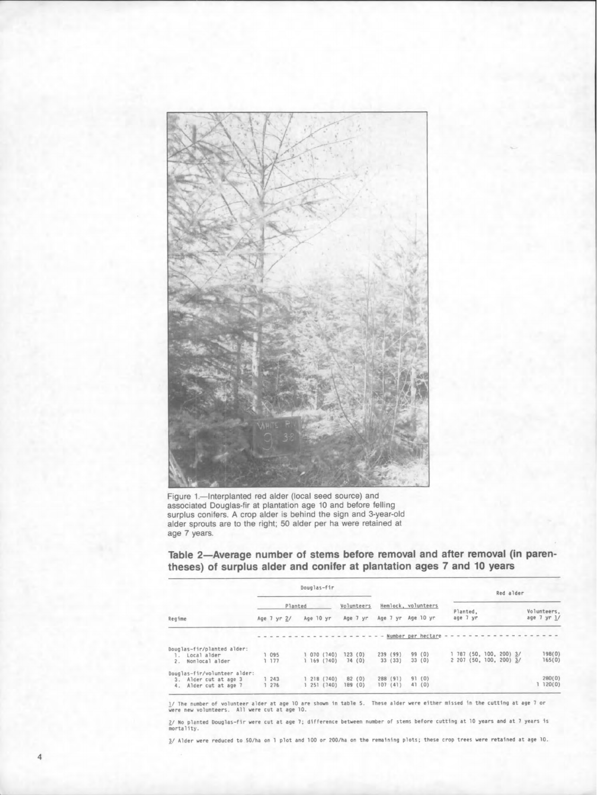

Figure 1.-Interplanted red alder (local seed source) and **associated Douglas-fir at plantation age 10 and before felling surplus conifers. A crop alder is behind the sign and 3-year-old alder sprouts are to the right; 50 alder per ha were retained at age 7 years.** 

Table 2-Average number of stems before removal and after removal (in paren**theses) of surplus alder and conifer at plantation ages 7 and 10 years** 

|                                                                                      |  |            |             |  | Douglas-fir |                        |                     |                  |                     |          |                    |  |  |          |                                                    | Red alder |  |  |                            |
|--------------------------------------------------------------------------------------|--|------------|-------------|--|-------------|------------------------|---------------------|------------------|---------------------|----------|--------------------|--|--|----------|----------------------------------------------------|-----------|--|--|----------------------------|
|                                                                                      |  | Planted    |             |  | Volunteers  |                        | Hemlock, volunteers |                  |                     | Planted. |                    |  |  |          |                                                    |           |  |  |                            |
| Regime                                                                               |  |            | Age 7 yr 2/ |  | Age 10 yr   |                        |                     | Age 7 yr         | Age 7 yr            |          | Age 10 yr          |  |  | age 7 yr |                                                    |           |  |  | Volunteers,<br>age 7 yr 1/ |
|                                                                                      |  |            |             |  |             |                        |                     |                  |                     |          | Number per hectare |  |  |          |                                                    |           |  |  |                            |
| Douglas-fir/planted alder:<br>Local alder<br>Nonlocal alder<br>2.                    |  | 095<br>177 |             |  |             | 070 (740)<br>169(740)  |                     | 123(0)<br>74(0)  | 239 (99)<br>33 (33) |          | 99 (0)<br>33(0)    |  |  |          | 1 787 (50, 100, 200) 3/<br>2 207 (50, 100, 200) 3/ |           |  |  | 198(0)<br>165(0)           |
| Douglas-fir/volunteer alder:<br>Alder cut at age 3<br>3.<br>Alder cut at age 7<br>4. |  | 243<br>276 |             |  |             | 218 (740)<br>251 (740) |                     | 82(0)<br>189 (0) | 288 (91)<br>107(41) |          | 91(0)<br>41(0)     |  |  |          |                                                    |           |  |  | 280(0)<br>120(0)           |

1/ The number of volunteer alder at age 10 are shown in table 5. These alder were either missed in the cutting at age 7 or<br>were new volunteers. All were cut at age 10.

2/ No planted Douglas–fir were cut at age 7; difference between number of stems before cutting at 10 years and at 7 years is<br>mortality.

3/ Alder were reduced to 50/ha on 1 plot and 100 or 200/ha on the remaining plots; these crop trees were retained at age 10.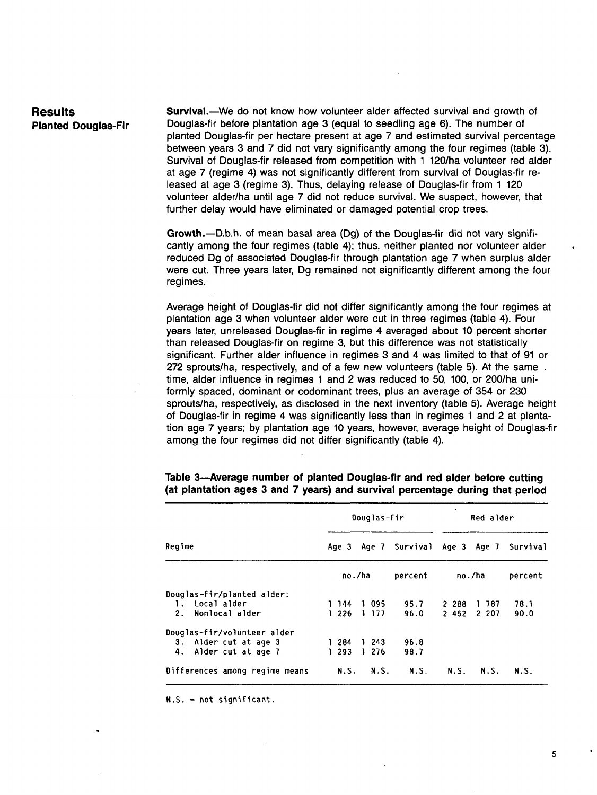# **Results Planted Douglas-Fir**

Survival.--We do not know how volunteer alder affected survival and growth of Douglas-fir before plantation age 3 (equal to seedling age 6). The number of planted Douglas-fir per hectare present at age 7 and estimated survival percentage between years 3 and 7 did not vary significantly among the four regimes (table 3). Survival of Douglas-fir released from competition with 1 120/ha volunteer red alder at age 7 (regime 4) was not significantly different from survival of Douglas-fir released at age 3 (regime 3). Thus, delaying release of Douglas-fir from 1 120 volunteer alder/ha until age 7 did not reduce survival. We suspect, however, that further delay would have eliminated or damaged potential crop trees.

Growth.---D.b.h. of mean basal area (Dg) of the Douglas-fir did not vary significantly among the four regimes (table 4); thus, neither planted nor volunteer alder reduced Dg of associated Douglas-fir through plantation age 7 when surplus alder were cut. Three years later, Dg remained not significantly different among the four regimes.

Average height of Douglas-fir did not differ significantly among the four regimes at plantation age 3 when volunteer alder were cut in three regimes (table 4). Four years later, unreleased Douglas-fir in regime 4 averaged about 10 percent shorter than released Douglas-fir on regime 3, but this difference was not statistically significant. Further alder influence in regimes 3 and 4 was limited to that of 91 or 272 sprouts/ha, respectively, and of a few new volunteers (table 5). At the same . time, alder influence in regimes 1 and 2 was reduced to 50, 100, or 200/ha uniformly spaced, dominant or codominant trees, plus an average of 354 or 230 sprouts/ha, respectively, as disclosed in the next inventory (table 5). Average height of Douglas-fir in regime 4 was significantly less than in regimes 1 and 2 at plantation age 7 years; by plantation age 10 years, however, average height of Douglas-fir among the four regimes did not differ significantly (table 4).

|                                |  |        |   | Douglas-fir |                | Red alder |             |          |  |
|--------------------------------|--|--------|---|-------------|----------------|-----------|-------------|----------|--|
| Regime                         |  | Age 3  |   |             | Age 7 Survival |           | Age 3 Age 7 | Survival |  |
|                                |  | no./ha |   |             | percent        |           | no./ha      | percent  |  |
| Douglas-fir/planted alder:     |  |        |   |             |                |           |             |          |  |
| Local alder<br>1.              |  | 1 144  |   | 1 095       | 95.7           | 2 288     | -787<br>Ŧ.  | 78.1     |  |
| 2.<br>Nonlocal alder           |  | 1226   |   | 1 177       | 96.0           | 2452      | 2 207       | 90.0     |  |
| Douglas-fir/volunteer alder    |  |        |   |             |                |           |             |          |  |
| Alder cut at age 3<br>3.       |  | 284    |   | 1 243       | 96.8           |           |             |          |  |
| 4.<br>Alder cut at age 7       |  | 1 293  | 1 | 276         | 98.7           |           |             |          |  |
| Differences among regime means |  | N.S.   |   | N.S.        | N.S.           | N.S.      | N.S.        | N.S.     |  |

### **Table 3--Average number of planted Douglas-fir and red alder before cutting (at plantation ages 3 and 7 years) and survival percentage during that period**

N.S. = not significant.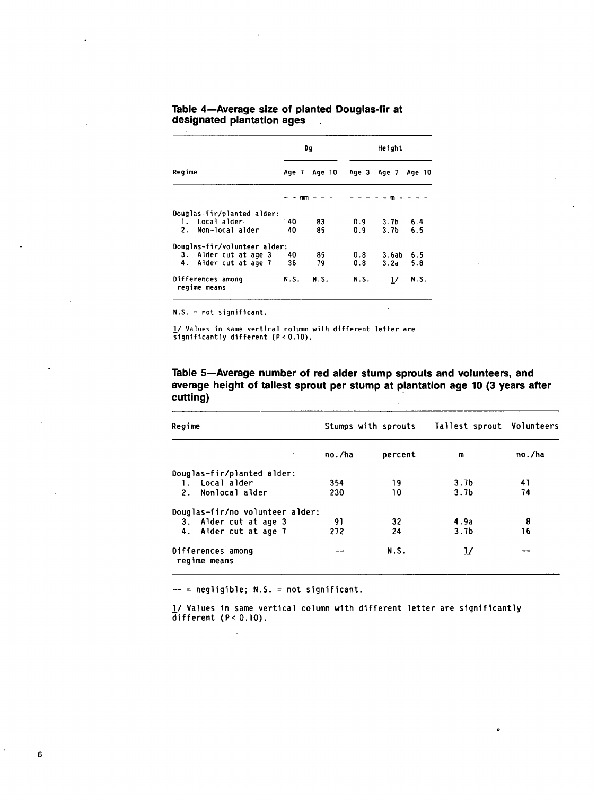|                                   |       | Da     | Height |                  |        |  |  |  |
|-----------------------------------|-------|--------|--------|------------------|--------|--|--|--|
| Regime                            | Age 7 | Age 10 | Age 3  | Age 7            | Age 10 |  |  |  |
|                                   |       | mm     |        | m                |        |  |  |  |
| Douglas-fir/planted alder:        |       |        |        |                  |        |  |  |  |
| 1. Local alder                    | $-40$ | 83     | 0.9    | 3.7 <sub>b</sub> | 6.4    |  |  |  |
| Non-local alder<br>2.             | 40    | 85     | 0.9    | 3.7 <sub>b</sub> | 6.5    |  |  |  |
| Douglas-fir/volunteer alder:      |       |        |        |                  |        |  |  |  |
| 3. Alder cut at age 3             | 40    | 85     | 0.8    | 3.6ab            | 6.5    |  |  |  |
| 4. Alder cut at age 7             | 36    | 79     | 0.8    | 3.2a             | 5.8    |  |  |  |
| Differences among<br>regime means | N.S.  | N.S.   | N.S.   | $\frac{1}{2}$    | N.S.   |  |  |  |

#### **Table 4--Average size of planted Douglas-fir at designated plantation ages**   $\mathbb{R}^2$

N.S. = not significant.

!/ Values in same vertical column with different letter are significantly different  $(P < 0.10)$ .

## **Table 5--Average number of red alder stump sprouts and volunteers, and average height of tallest sprout per stump at plantation age 10 (3 years after cutting)**

| Regime                            |        | Stumps with sprouts | Tallest sprout Volunteers |        |
|-----------------------------------|--------|---------------------|---------------------------|--------|
| ٠                                 | no./ha | percent             | m                         | no./ha |
| Douglas-fir/planted alder:        |        |                     |                           |        |
| Local alder<br>$\mathbf{1}$ .     | 354    | 19                  | 3.7 <sub>b</sub>          | 41     |
| 2.<br>Nonlocal alder              | 230    | 10                  | 3.7 <sub>b</sub>          | 74     |
| Douglas-fir/no volunteer alder:   |        |                     |                           |        |
| 3. Alder cut at age 3             | 91     | 32                  | 4.9a                      | 8      |
| 4. Alder cut at age 7             | 272    | 24                  | 3.7 <sub>b</sub>          | 16     |
| Differences among<br>regime means |        | N.S.                | 17                        |        |

 $--$  = negligible; N.S. = not significant.

 $\mathbb{R}^2$ 

l/ Values in same vertical column with different letter are significantly  $\overline{d}$ ifferent (P< 0.10).

 $\bullet$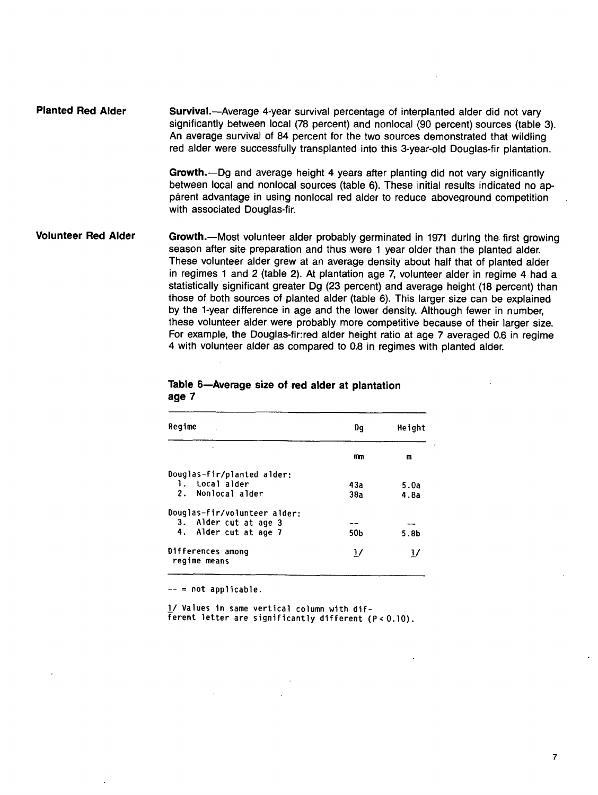| <b>Planted Red Alder</b> | Survival.—Average 4-year survival percentage of interplanted alder did not vary<br>significantly between local (78 percent) and nonlocal (90 percent) sources (table 3).<br>An average survival of 84 percent for the two sources demonstrated that wildling<br>red alder were successfully transplanted into this 3-year-old Douglas-fir plantation. |
|--------------------------|-------------------------------------------------------------------------------------------------------------------------------------------------------------------------------------------------------------------------------------------------------------------------------------------------------------------------------------------------------|
|                          | Growth.—Dg and average height 4 years after planting did not vary significantly                                                                                                                                                                                                                                                                       |

between local and nonlocal sources (table 6). These initial results indicated no apparent advantage in using nonlocal red alder to reduce aboveground competition with associated Douglas-fir.

**Volunteer Red Alder**  Growth.-Most volunteer alder probably germinated in 1971 during the first growing season after site preparation and thus were 1 year older than the planted alder. These volunteer alder grew at an average density about half that of planted alder in regimes 1 and 2 (table 2). At plantation age 7, volunteer alder in regime 4 had a statistically significant greater Dg (23 percent) and average height (18 percent) than those of both sources of planted alder (table 6). This larger size can be explained by the 1-year difference in age and the lower density. Although fewer in number, these volunteer alder were probably more competitive because of their larger size. For example, the Douglas-fir:red alder height ratio at age 7 averaged 0.6 in regime 4 with volunteer alder as compared to 0.8 in regimes with planted alder,

#### **Table 6--Average size of red alder at plantation age 7**

| Regime                            | Dq            | Height           |
|-----------------------------------|---------------|------------------|
|                                   | mm            | m                |
| Douglas-fir/planted alder:        |               |                  |
| 1. Local alder                    | 43а           | 5.0a             |
| 2. Nonlocal alder                 | 38a           | 4.8a             |
| Douglas-fir/volunteer alder:      |               |                  |
| 3. Alder cut at age 3             |               |                  |
| 4. Alder cut at age 7             | 50b           | 5.8 <sub>b</sub> |
| Differences among<br>regime means | $\frac{1}{2}$ | $\frac{1}{2}$    |

 $--$  = not applicable.

I\_/ Values in same vertical column with dif-Ferent letter are significantly different  $(P < 0.10)$ .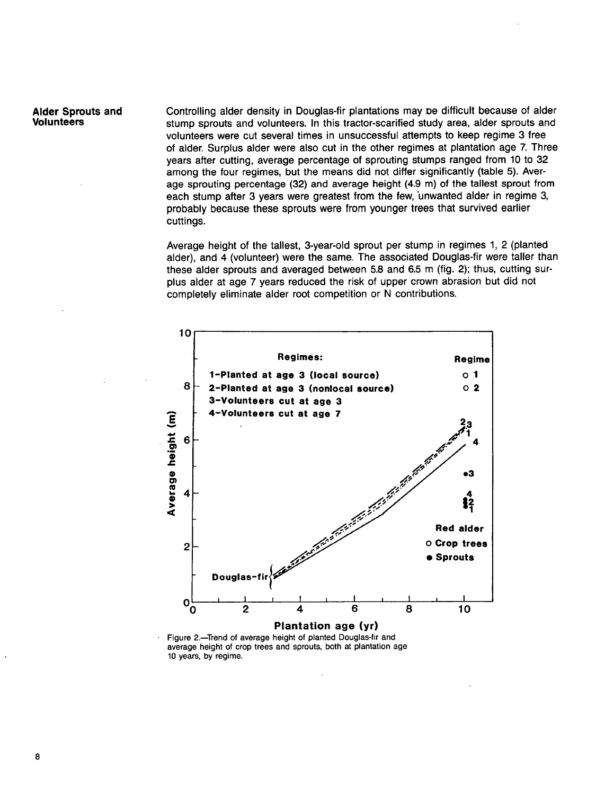Alder Sprouts **and**  Volunteers

Controlling alder density in Douglas-fir plantations may De difficult because of alder stump sprouts and volunteers. In this tractor-scarified study area, alder sprouts and volunteers were cut several times in unsuccessful attempts to keep regime 3 free of alder. Surplus alder were also cut in the other regimes at plantation age 7. Three years after cutting, average percentage of sprouting stumps ranged from 10 to 32 among the four regimes, but the means did not differ significantly (table 5). Average sprouting percentage (32) and average height (4.9 m) of the tallest sprout from each stump after 3 years were greatest from the few, unwanted alder in regime 3. probably because these sprouts were from younger trees that survived earlier cuttings.

Average height of the tallest, 3-year-old sprout per stump in regimes 1, 2 (planted alder), and 4 (volunteer) were the same. The associated Douglas-fir were taller than these alder sprouts and averaged between 5.8 and 6.5 m (fig. 2); thus, cutting surplus alder at age 7 years reduced the risk of upper crown abrasion but did not completely eliminate alder root competition or N contributions.



Figure 2.-Trend of average height of planted Douglas-fir and average height of crop trees and sprouts, both at plantation age 10 years, by regime.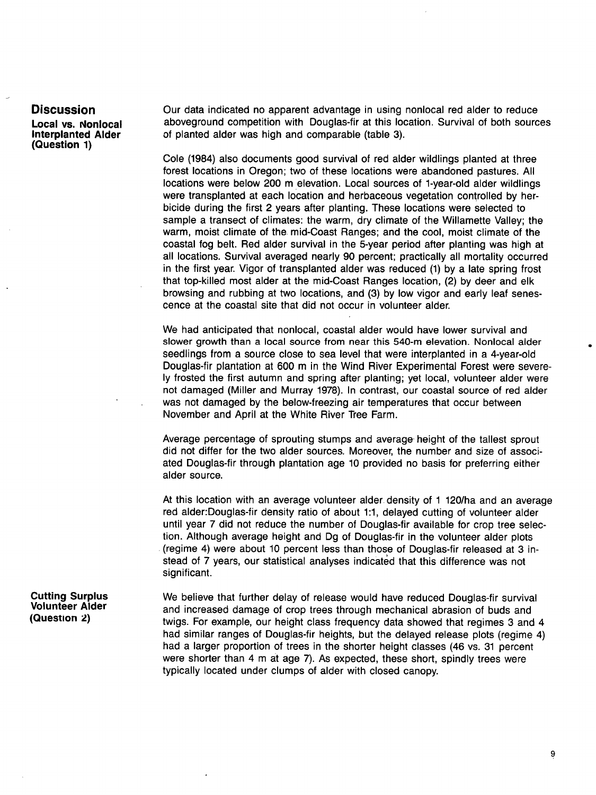#### **Discussion**

**Local vs. Nonlocal Interplanted Alder (Question 1)** 

Our data indicated no apparent advantage in using nonlocal red alder to reduce aboveground competition with Douglas-fir at this location. Survival of both sources of planted alder was high and comparable (table 3).

Cole (1984) also documents good survival of red alder wildlings planted at three forest locations in Oregon; two of these locations were abandoned pastures. All locations were below 200 m elevation. Local sources of 1-year-old alder wildlings were transplanted at each location and herbaceous vegetation controlled by herbicide during the first 2 years after planting. These locations were selected to sample a transect of climates: the warm, dry climate of the Willamette Valley; the warm, moist climate of the mid-Coast Ranges; and the cool, moist climate of the coastal fog belt. Red alder survival in the 5-year period after planting was high at all locations. Survival averaged nearly 90 percent; practically all mortality occurred in the first year. Vigor of transplanted alder was reduced (1) by a late spring frost that top-killed most alder at the mid-Coast Ranges location, (2) by deer and elk browsing and rubbing at two locations, and (3) by low vigor and early leaf senescence at the coastal site that did not occur in volunteer alder.

We had anticipated that nonlocal, coastal alder would have lower survival and slower growth than a local source from near this 540-m elevation. Nonlocal alder seedlings from a source close to sea level that were interplanted in a 4-year-old Douglas-fir plantation at 600 m in the Wind River Experimental Forest were severely frosted the first autumn and spring after planting; yet local, volunteer alder were not damaged (Miller and Murray 1978). In contrast, our coastal source of red alder was not damaged by the below-freezing air temperatures that occur between November and April at the White River Tree Farm.

Average percentage of sprouting stumps and average height of the tallest sprout did not differ for the two alder sources. Moreover, the number and size of associated Douglas-fir through plantation age 10 provided no basis for preferring either alder source.

At this location with an average volunteer alder density of 1 120/ha and an average red alder:Douglas-fir density ratio of about 1:1, delayed cutting of volunteer alder until year 7 did not reduce the number of Douglas-fir available for crop tree selection. Although average height and Dg of Douglas-fir in the volunteer alder plots (regime 4) were about 10 percent less than those of Douglas-fir released at 3 instead of 7 years, our statistical analyses indicated that this difference was not significant.

**Cutting Surplus Volunteer Alder (Question 2)** 

We believe that further delay of release would have reduced Douglas-fir survival and increased damage of crop trees through mechanical abrasion of buds and twigs. For example, our height class frequency data showed that regimes 3 and 4 had similar ranges of Douglas-fir heights, but the delayed release plots (regime 4) had a larger proportion of trees in the shorter height classes (46 vs. 31 percent were shorter than 4 m at age 7). As expected, these short, spindly trees were typically located under clumps of alder with closed canopy.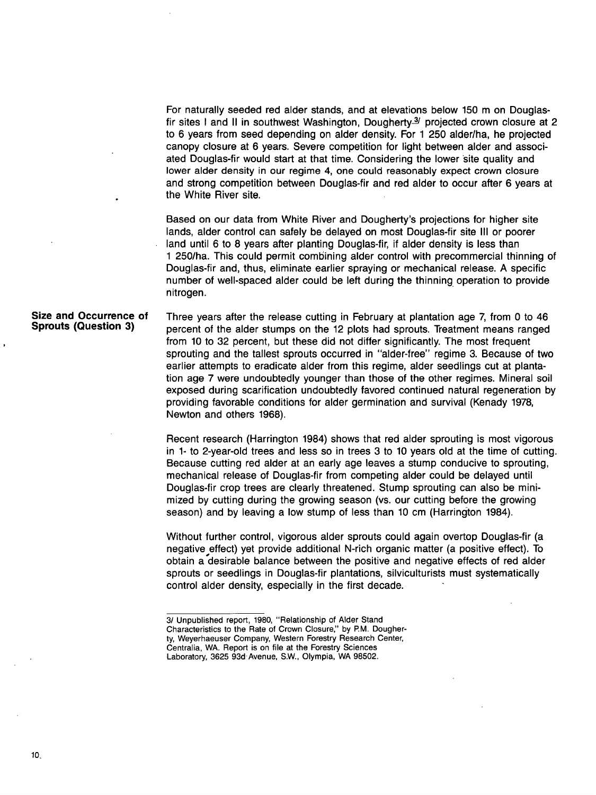For naturally seeded red alder stands, and at elevations below 150 m on Douglasfir sites I and II in southwest Washington, Dougherty $\frac{3}{2}$  projected crown closure at 2 to 6 years from seed depending on alder density. For 1 250 alder/ha, he projected canopy closure at 6 years. Severe competition for light between alder and associated Douglas-fir would start at that time. Considering the lower Site quality and lower alder density in our regime 4, one could reasonably expect crown closure and strong competition between Douglas-fir and red alder to occur after 6 years at the White River site.

Based on our data from White River and Dougherty's projections for higher site lands, alder control can safely be delayed on most Douglas-fir site III or poorer land until 6 to 8 years after planting Douglas-fir, if alder density is less than 1 250/ha. This could permit combining alder control with precommercial thinning of Douglas-fir and, thus, eliminate earlier spraying or mechanical release. A specific number of well-spaced alder could be left during the thinning, operation to provide nitrogen.

#### **Size and Occurrence of Sprouts (Question 3)**

Three years after the release cutting in February at plantation age 7, from 0 to 46 percent of the alder stumps on the 12 plots had sprouts. Treatment means ranged from 10 to 32 percent, but these did not differ significantly. The most frequent sprouting and the tallest sprouts occurred in "alder-free" regime 3. Because of two earlier attempts to eradicate alder from this regime, alder seedlings cut at plantation age 7 were undoubtedly younger than those of the other regimes. Mineral soil exposed during scarification undoubtedly favored continued natural regeneration by providing favorable conditions for alder germination and survival (Kenady 1978, Newton and others 1968).

Recent research (Harrington 1984) shows that red alder sprouting is most vigorous in 1- to 2-year-old trees and less so in trees 3 to 10 years old at the time of cutting. Because cutting red alder at an early age leaves a stump conducive to sprouting, mechanical release of Douglas-fir from competing alder could be delayed until Douglas-fir crop trees are clearly threatened. Stump sprouting can also be minimized by cutting during the growing season (vs. our cutting before the growing season) and by leaving a low stump of less than 10 cm (Harrington 1984).

Without further control, vigorous alder sprouts could again overtop Douglas-fir (a negative effect) yet provide additional N-rich organic matter (a positive effect). To obtain a desirable balance between the positive and negative effects of red alder sprouts or seedlings in Douglas-fir plantations, silviculturists must systematically control alder density, especially in the first decade.

<sup>3/</sup>Unpublished report, 1980, "Relationship of Alder Stand Characteristics to the Rate of Crown Closure," by P.M. Dougherty, Weyerhaeuser Company, Western Forestry Research Center, Centralia, WA. Report is on file at the Forestry Sciences Laboratory, 3625 93d Avenue, S.W., Olympia, WA 98502.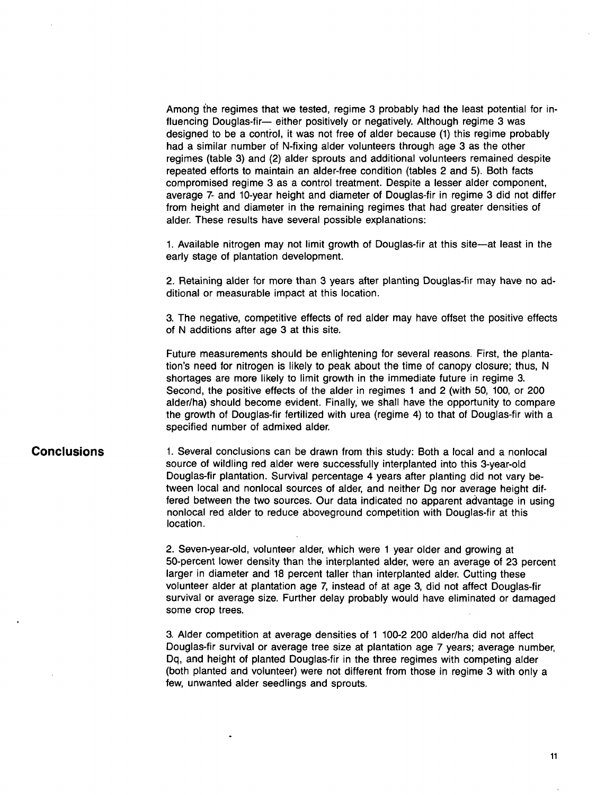Among the regimes that we tested, regime 3 probably had the least potential for influencing Douglas-fir-- either positively or negatively. Although regime 3 was designed to be a control, it was not free of alder because (1) this regime probably had a similar number of N-fixing alder volunteers through age 3 as the other regimes (table 3) and (2) alder sprouts and additional volunteers remained despite repeated efforts to maintain an alder-free condition (tables 2 and 5). Both facts compromised regime 3 as a control treatment. Despite a lesser alder component, average 7- and 10-year height and diameter of Douglas-fir in regime 3 did not differ from height and diameter in the remaining regimes that had greater densities of alder. These results have several possible explanations:

1. Available nitrogen may not limit growth of Douglas-fir at this site—at least in the early stage of plantation development.

2. Retaining alder for more than 3 years after planting Douglas-fir may have no additional or measurable impact at this location.

3. The negative, competitive effects of red alder may have offset the positive effects of N additions after age 3 at this site.

Future measurements should be enlightening for several reasons. First, the plantation's need for nitrogen is likely to peak about the time of canopy closure; thus, N shortages are more likely to limit growth in the immediate future in regime 3. Second, the positive effects of the alder in regimes 1 and 2 (with 50, 100, or 200 alder/ha) should become evident. Finally, we shall have the opportunity to compare the growth of Douglas-fir fertilized with urea (regime 4) to that of Douglas-fir with a specified number of admixed alder.

### **Conclusions**

1. Several conclusions can be drawn from this study: Both a local and a nonlocal source of wildling red alder were successfully interplanted into this 3-year-old Douglas-fir plantation. Survival percentage 4 years after planting did not vary between local and nonlocal sources of alder, and neither Dg nor average height differed between the two sources. Our data indicated no apparent advantage in using nonlocal red alder to reduce aboveground competition with Douglas-fir at this location.

2. Seven-year-old, volunteer alder, which were 1 year older and growing at 50-percent lower density than the interplanted alder, were an average of 23 percent larger in diameter and 18 percent taller than interplanted alder. Cutting these volunteer alder at plantation age 7, instead of at age 3, did not affect Douglas-fir survival or average size. Further delay probably would have eliminated or damaged some crop trees.

3. Alder competition at average densities of 1 100-2 200 alder/ha did not affect Douglas-fir survival or average tree size at plantation age 7 years; average number, Dq, and height of planted Douglas-fir in the three regimes with competing alder (both planted and volunteer) were not different from those in regime 3 with only a few, unwanted alder seedlings and sprouts.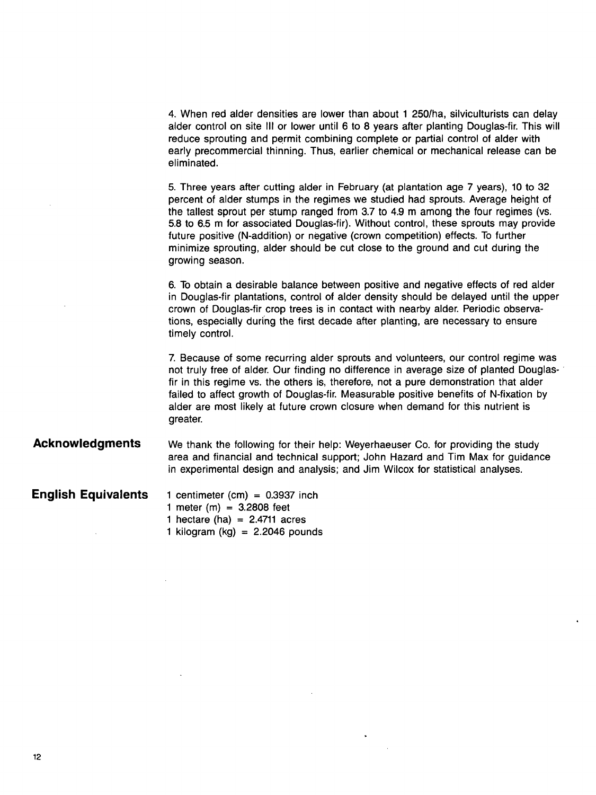4. When red alder densities are lower than about 1 250/ha, silviculturists can delay alder control on site III or lower until 6 to 8 years after planting Douglas-fir. This will reduce sprouting and permit combining complete or partial control of alder with early precommercial thinning. Thus, earlier chemical or mechanical release can be eliminated.

5. Three years after cutting alder in February (at plantation age 7 years), 10 to 32 percent of alder stumps in the regimes we studied had sprouts. Average height of the tallest sprout per stump ranged from 3.7 to 4.9 m among the four regimes (vs. 5.8 to 6.5 m for associated Douglas-fir). Without control, these sprouts may provide future positive (N-addition) or negative (crown competition) effects. To further minimize sprouting, alder should be cut close to the ground and cut during the growing season.

6. To obtain a desirable balance between positive and negative effects of red alder in Douglas-fir plantations, control of alder density should be delayed until the upper crown of Douglas-fir crop trees is in contact with nearby alder. Periodic observations, especially duri'ng the first decade after planting, are necessary to ensure timely control.

7. Because of some recurring alder sprouts and volunteers, our control regime was not truly free of alder. Our finding no difference in average size of planted Douglasfir in this regime vs. the others is, therefore, not a pure demonstration that alder failed to affect growth of Douglas-fir. Measurable positive benefits of N-fixation by alder are most likely at future crown closure when demand for this nutrient is greater.

**Acknowledgments**  We thank the following for their help: Weyerhaeuser Co. for providing the study area and financial and technical support; John Hazard and Tim Max for guidance in experimental design and analysis; and Jim Wilcox for statistical analyses.

**English Equivalents** 

- 1 centimeter (cm)  $= 0.3937$  inch 1 meter (m) =  $3.2808$  feet 1 hectare (ha) =  $2.4711$  acres
	- 1 kilogram (kg) =  $2.2046$  pounds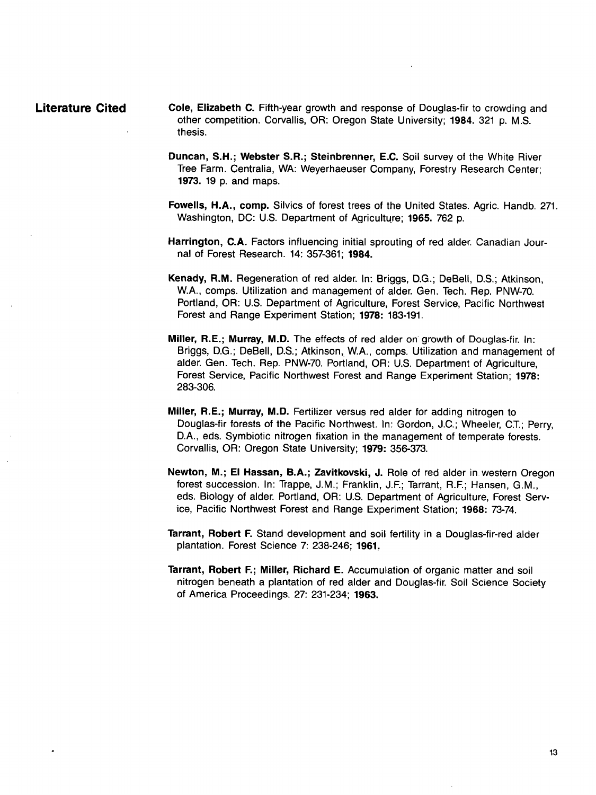- **Literature Cited Cole, Elizabeth C.** Fifth-year growth and response of Douglas-fir to crowding and other competition. Corvallis, OR: Oregon State University; 1984. 321 **p. M.S.**  thesis.
	- **Duncan, S.H.; Webster S.R.; Steinbrenner,** E.C. Soil survey of the White River Tree Farm. Centralia, WA: Weyerhaeuser Company, Forestry Research Center; 1973. 19 p. and maps.
	- **Fowells, H.A., comp.** Silvics of forest trees of the United States. Agric. Handb. 271. Washington, DC: U.S. Department of Agriculture; 1965. 762 p.
	- **Harrington,** C.A. Factors influencing initial sprouting of red alder. Canadian Journal of Forest Research. 14: 357-361; 1984.
	- **Kenady,** R.M. Regeneration of red alder. In: Briggs, D.G.; DeBell, D.S.; Atkinson, W.A., comps. Utilization and management of alder. Gen. Tech. Rep. PNW-70. Portland, OR: U.S. Department of Agriculture, Forest Service, Pacific Northwest Forest and Range Experiment Station; 1978: 183-191.
	- Miller, R.E.; Murray, M.D. The effects of red alder on growth of Douglas-fir. In: Briggs, D.G.; DeBell, D.S.; Atkinson, W.A., comps. Utilization and management of alder. Gen. Tech. Rep. PNW-70. Portland, OR: U.S. Department of Agriculture, Forest Service, Pacific Northwest Forest and Range Experiment Station; 1978: 283-306.
	- Miller, R.E.; Murray, M.D. Fertilizer versus red alder for adding nitrogen to Douglas-fir forests of the Pacific Northwest. In: Gordon, J.C.; Wheeler, C.T.; Perry, D.A., eds. Symbiotic nitrogen fixation in the management of temperate forests. Corvallis, OR: Oregon State University; 1979: 356-373.
	- Newton, M.; El Hassan, B.A.; Zavitkovski, J. Role of red alder in western Oregon forest succession. In: Trappe, J.M.; Franklin, J.F.; Tarrant, R.F.; Hansen, G.M., eds. Biology of alder. Portland, OR: U.S. Department of Agriculture, Forest Service, Pacific Northwest Forest and Range Experiment Station; 1968: 73-74.
	- **Tarrant,** Robert F. Stand development and soil fertility in a Douglas-fir-red alder plantation. Forest Science 7: 238-246; 1961,
	- Tarrant, Robert F.; Miller, Richard E. Accumulation of organic matter and soil nitrogen beneath a plantation of red alder and Douglas-fir. Soil Science Society of America Proceedings. 27: 231-234; 1963.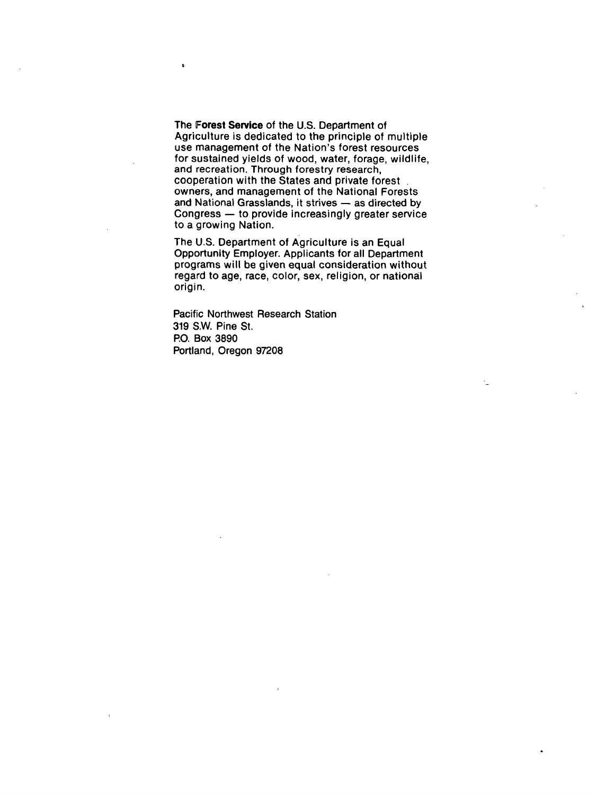The **Forest Service** of the U.S. Department of Agriculture is dedicated to the principle of multiple use management of the Nation's forest resources for sustained yields of wood, water, forage, wildlife, and recreation. Through forestry research, cooperation with the States and private forest owners, and management of the National Forests and National Grasslands, it strives  $-$  as directed by Congress -- to provide increasingly greater service to a growing Nation.

The U.S. Department of Agriculture is an Equal Opportunity Employer. Applicants for all Department programs will be given equal consideration without regard to age, race, color, sex, religion, or national origin.

Pacific Northwest Research Station 319 S.W. Pine St. P.O. Box 3890 Portland, Oregon 97208

 $\ddot{\phantom{a}}$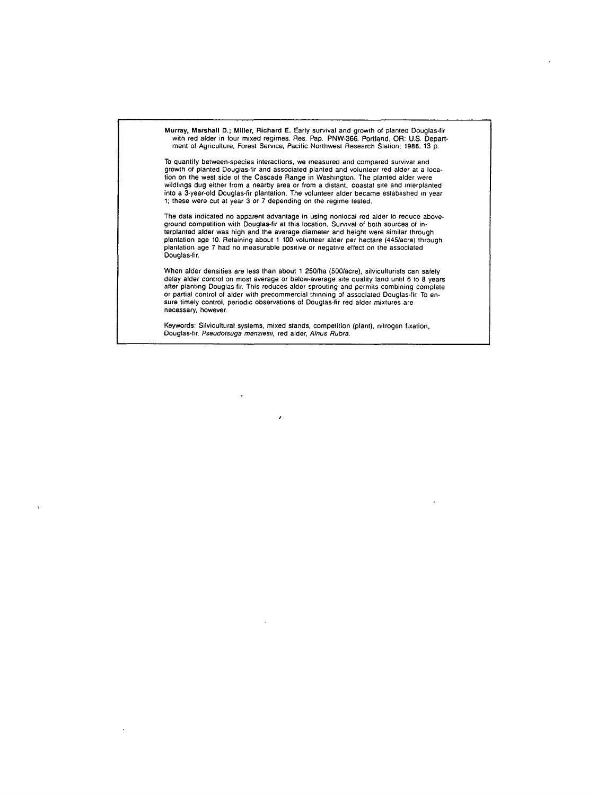

 $\lambda$